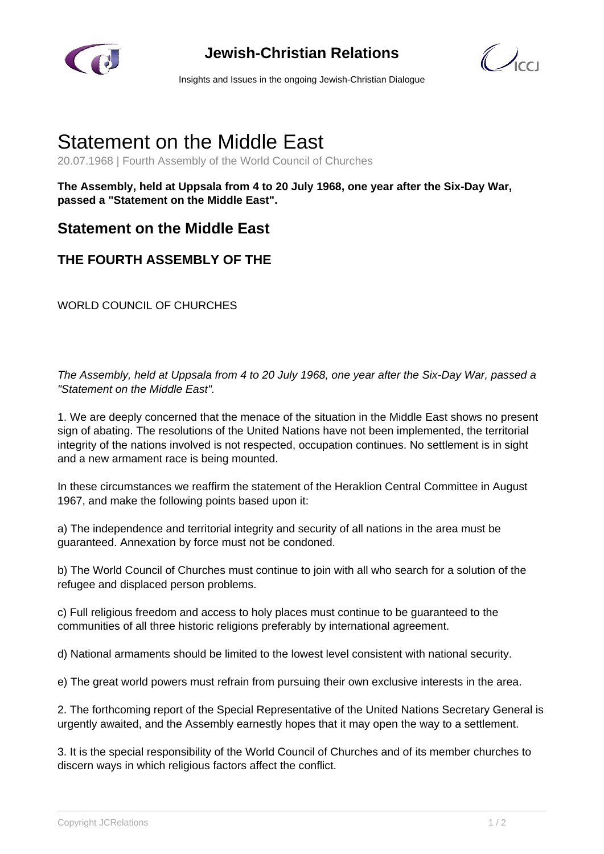

## **Jewish-Christian Relations**

 $\mathbb{Z}_{\text{cc}}$ 

Insights and Issues in the ongoing Jewish-Christian Dialogue

## Statement on the Middle East

20.07.1968 | Fourth Assembly of the World Council of Churches

**The Assembly, held at Uppsala from 4 to 20 July 1968, one year after the Six-Day War, passed a "Statement on the Middle East".**

## **Statement on the Middle East**

## **THE FOURTH ASSEMBLY OF THE**

WORLD COUNCIL OF CHURCHES

The Assembly, held at Uppsala from 4 to 20 July 1968, one year after the Six-Day War, passed a "Statement on the Middle East".

1. We are deeply concerned that the menace of the situation in the Middle East shows no present sign of abating. The resolutions of the United Nations have not been implemented, the territorial integrity of the nations involved is not respected, occupation continues. No settlement is in sight and a new armament race is being mounted.

In these circumstances we reaffirm the statement of the Heraklion Central Committee in August 1967, and make the following points based upon it:

a) The independence and territorial integrity and security of all nations in the area must be guaranteed. Annexation by force must not be condoned.

b) The World Council of Churches must continue to join with all who search for a solution of the refugee and displaced person problems.

c) Full religious freedom and access to holy places must continue to be guaranteed to the communities of all three historic religions preferably by international agreement.

d) National armaments should be limited to the lowest level consistent with national security.

e) The great world powers must refrain from pursuing their own exclusive interests in the area.

2. The forthcoming report of the Special Representative of the United Nations Secretary General is urgently awaited, and the Assembly earnestly hopes that it may open the way to a settlement.

3. It is the special responsibility of the World Council of Churches and of its member churches to discern ways in which religious factors affect the conflict.